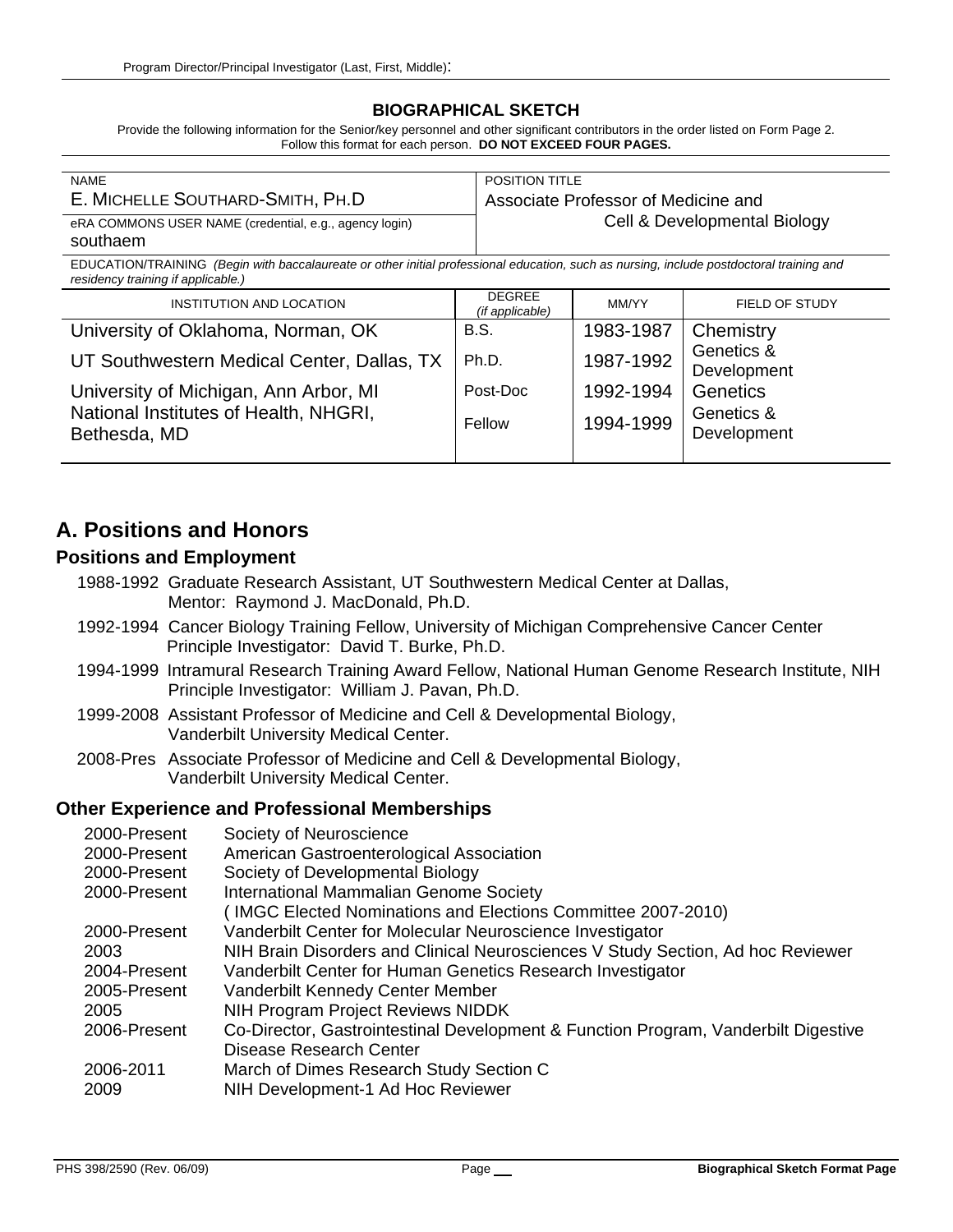## **BIOGRAPHICAL SKETCH**

Provide the following information for the Senior/key personnel and other significant contributors in the order listed on Form Page 2. Follow this format for each person. **DO NOT EXCEED FOUR PAGES.**

| <b>NAME</b>                                            | <b>POSITION TITLE</b>               |
|--------------------------------------------------------|-------------------------------------|
| E. MICHELLE SOUTHARD-SMITH, PH.D                       | Associate Professor of Medicine and |
| eRA COMMONS USER NAME (credential, e.g., agency login) | Cell & Developmental Biology        |
| southaem                                               |                                     |

EDUCATION/TRAINING *(Begin with baccalaureate or other initial professional education, such as nursing, include postdoctoral training and residency training if applicable.)*

| <b>INSTITUTION AND LOCATION</b>                       | <b>DEGREE</b><br>(if applicable) | MM/YY     | FIELD OF STUDY            |
|-------------------------------------------------------|----------------------------------|-----------|---------------------------|
| University of Oklahoma, Norman, OK                    | <b>B.S.</b>                      | 1983-1987 | Chemistry                 |
| UT Southwestern Medical Center, Dallas, TX            | Ph.D.                            | 1987-1992 | Genetics &<br>Development |
| University of Michigan, Ann Arbor, MI                 | Post-Doc                         | 1992-1994 | <b>Genetics</b>           |
| National Institutes of Health, NHGRI,<br>Bethesda, MD | Fellow                           | 1994-1999 | Genetics &<br>Development |

## **A. Positions and Honors**

#### **Positions and Employment**

- 1988-1992 Graduate Research Assistant, UT Southwestern Medical Center at Dallas, Mentor: Raymond J. MacDonald, Ph.D.
- 1992-1994 Cancer Biology Training Fellow, University of Michigan Comprehensive Cancer Center Principle Investigator: David T. Burke, Ph.D.
- 1994-1999 Intramural Research Training Award Fellow, National Human Genome Research Institute, NIH Principle Investigator: William J. Pavan, Ph.D.
- 1999-2008 Assistant Professor of Medicine and Cell & Developmental Biology, Vanderbilt University Medical Center.
- 2008-Pres Associate Professor of Medicine and Cell & Developmental Biology, Vanderbilt University Medical Center.

## **Other Experience and Professional Memberships**

| 2000-Present | Society of Neuroscience                                                            |
|--------------|------------------------------------------------------------------------------------|
| 2000-Present | American Gastroenterological Association                                           |
| 2000-Present | Society of Developmental Biology                                                   |
| 2000-Present | International Mammalian Genome Society                                             |
|              | (IMGC Elected Nominations and Elections Committee 2007-2010)                       |
| 2000-Present | Vanderbilt Center for Molecular Neuroscience Investigator                          |
| 2003         | NIH Brain Disorders and Clinical Neurosciences V Study Section, Ad hoc Reviewer    |
| 2004-Present | Vanderbilt Center for Human Genetics Research Investigator                         |
| 2005-Present | Vanderbilt Kennedy Center Member                                                   |
| 2005         | <b>NIH Program Project Reviews NIDDK</b>                                           |
| 2006-Present | Co-Director, Gastrointestinal Development & Function Program, Vanderbilt Digestive |
|              | Disease Research Center                                                            |
| 2006-2011    | March of Dimes Research Study Section C                                            |
| 2009         | NIH Development-1 Ad Hoc Reviewer                                                  |
|              |                                                                                    |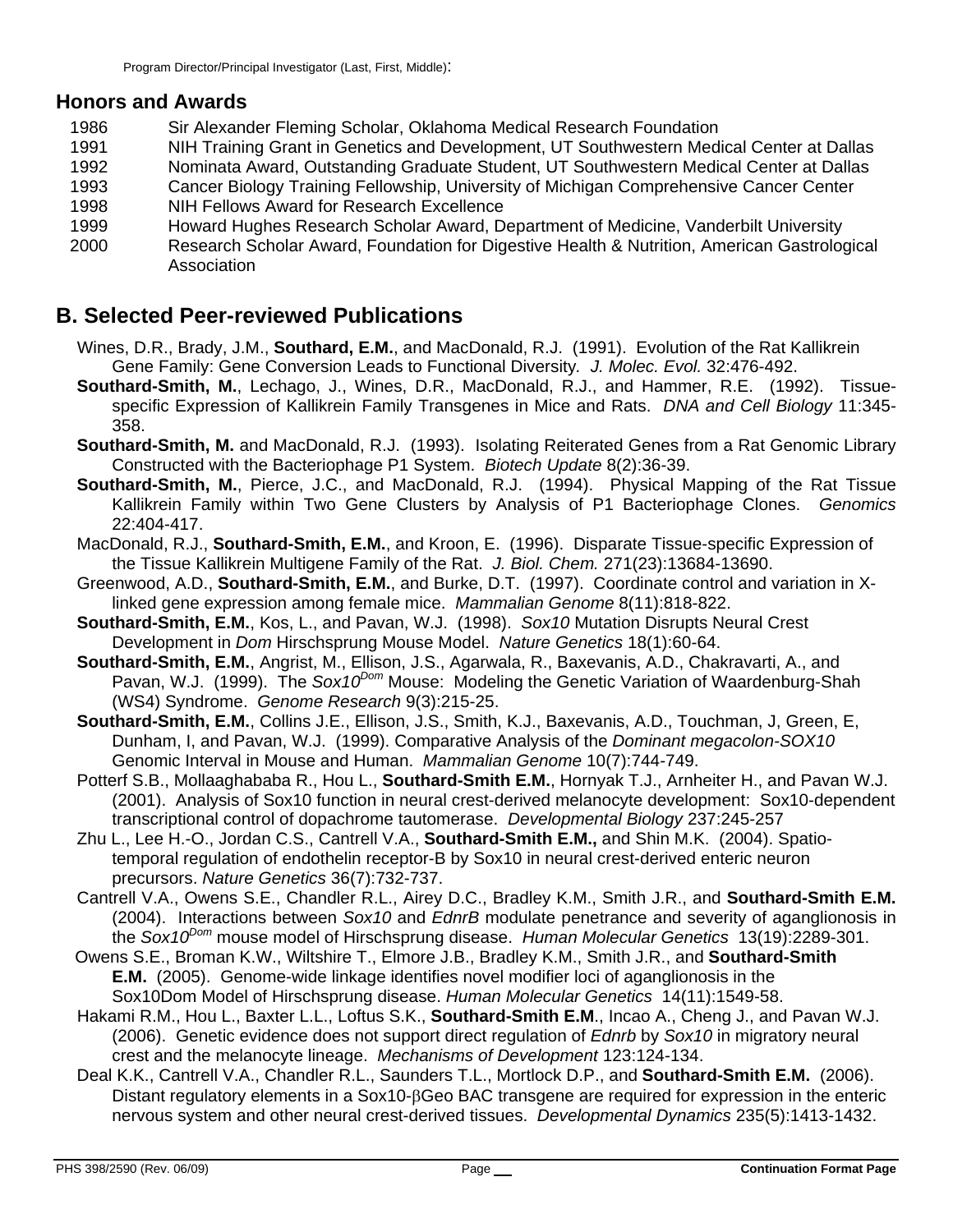## **Honors and Awards**

- 1986 Sir Alexander Fleming Scholar, Oklahoma Medical Research Foundation<br>1991 **MIL Training Grant in Genetics and Development**. UT Southwestern Medi
- NIH Training Grant in Genetics and Development, UT Southwestern Medical Center at Dallas
- 1992 Nominata Award, Outstanding Graduate Student, UT Southwestern Medical Center at Dallas
- 1993 Cancer Biology Training Fellowship, University of Michigan Comprehensive Cancer Center
- 1998 NIH Fellows Award for Research Excellence
- 1999 Howard Hughes Research Scholar Award, Department of Medicine, Vanderbilt University
- 2000 Research Scholar Award, Foundation for Digestive Health & Nutrition, American Gastrological **Association**

# **B. Selected Peer-reviewed Publications**

- Wines, D.R., Brady, J.M., **Southard, E.M.**, and MacDonald, R.J. (1991). Evolution of the Rat Kallikrein Gene Family: Gene Conversion Leads to Functional Diversity*. J. Molec. Evol.* 32:476-492.
- **Southard-Smith, M.**, Lechago, J., Wines, D.R., MacDonald, R.J., and Hammer, R.E. (1992). Tissuespecific Expression of Kallikrein Family Transgenes in Mice and Rats. *DNA and Cell Biology* 11:345- 358.
- **Southard-Smith, M.** and MacDonald, R.J. (1993). Isolating Reiterated Genes from a Rat Genomic Library Constructed with the Bacteriophage P1 System. *Biotech Update* 8(2):36-39.
- **Southard-Smith, M.**, Pierce, J.C., and MacDonald, R.J. (1994). Physical Mapping of the Rat Tissue Kallikrein Family within Two Gene Clusters by Analysis of P1 Bacteriophage Clones. *Genomics* 22:404-417.
- MacDonald, R.J., **Southard-Smith, E.M.**, and Kroon, E. (1996). Disparate Tissue-specific Expression of the Tissue Kallikrein Multigene Family of the Rat. *J. Biol. Chem.* 271(23):13684-13690.
- Greenwood, A.D., **Southard-Smith, E.M.**, and Burke, D.T. (1997). Coordinate control and variation in Xlinked gene expression among female mice. *Mammalian Genome* 8(11):818-822.
- **Southard-Smith, E.M.**, Kos, L., and Pavan, W.J. (1998). *Sox10* Mutation Disrupts Neural Crest Development in *Dom* Hirschsprung Mouse Model. *Nature Genetics* 18(1):60-64.
- **Southard-Smith, E.M.**, Angrist, M., Ellison, J.S., Agarwala, R., Baxevanis, A.D., Chakravarti, A., and Pavan, W.J. (1999). The *Sox10Dom* Mouse: Modeling the Genetic Variation of Waardenburg-Shah (WS4) Syndrome. *Genome Research* 9(3):215-25.
- **Southard-Smith, E.M.**, Collins J.E., Ellison, J.S., Smith, K.J., Baxevanis, A.D., Touchman, J, Green, E, Dunham, I, and Pavan, W.J. (1999). Comparative Analysis of the *Dominant megacolon-SOX10* Genomic Interval in Mouse and Human. *Mammalian Genome* 10(7):744-749.
- Potterf S.B., Mollaaghababa R., Hou L., **Southard-Smith E.M.**, Hornyak T.J., Arnheiter H., and Pavan W.J. (2001). Analysis of Sox10 function in neural crest-derived melanocyte development: Sox10-dependent transcriptional control of dopachrome tautomerase. *Developmental Biology* 237:245-257
- Zhu L., Lee H.-O., Jordan C.S., Cantrell V.A., **Southard-Smith E.M.,** and Shin M.K. (2004). Spatiotemporal regulation of endothelin receptor-B by Sox10 in neural crest-derived enteric neuron precursors. *Nature Genetics* 36(7):732-737.
- Cantrell V.A., Owens S.E., Chandler R.L., Airey D.C., Bradley K.M., Smith J.R., and **Southard-Smith E.M.** (2004). Interactions between *Sox10* and *EdnrB* modulate penetrance and severity of aganglionosis in the *Sox10Dom* mouse model of Hirschsprung disease. *Human Molecular Genetics* 13(19):2289-301.
- Owens S.E., Broman K.W., Wiltshire T., Elmore J.B., Bradley K.M., Smith J.R., and **Southard-Smith E.M.** (2005). Genome-wide linkage identifies novel modifier loci of aganglionosis in the Sox10Dom Model of Hirschsprung disease. *Human Molecular Genetics* 14(11):1549-58.
- Hakami R.M., Hou L., Baxter L.L., Loftus S.K., **Southard-Smith E.M**., Incao A., Cheng J., and Pavan W.J. (2006). Genetic evidence does not support direct regulation of *Ednrb* by *Sox10* in migratory neural crest and the melanocyte lineage. *Mechanisms of Development* 123:124-134.
- Deal K.K., Cantrell V.A., Chandler R.L., Saunders T.L., Mortlock D.P., and **Southard-Smith E.M.** (2006). Distant regulatory elements in a Sox10-βGeo BAC transgene are required for expression in the enteric nervous system and other neural crest-derived tissues. *Developmental Dynamics* 235(5):1413-1432.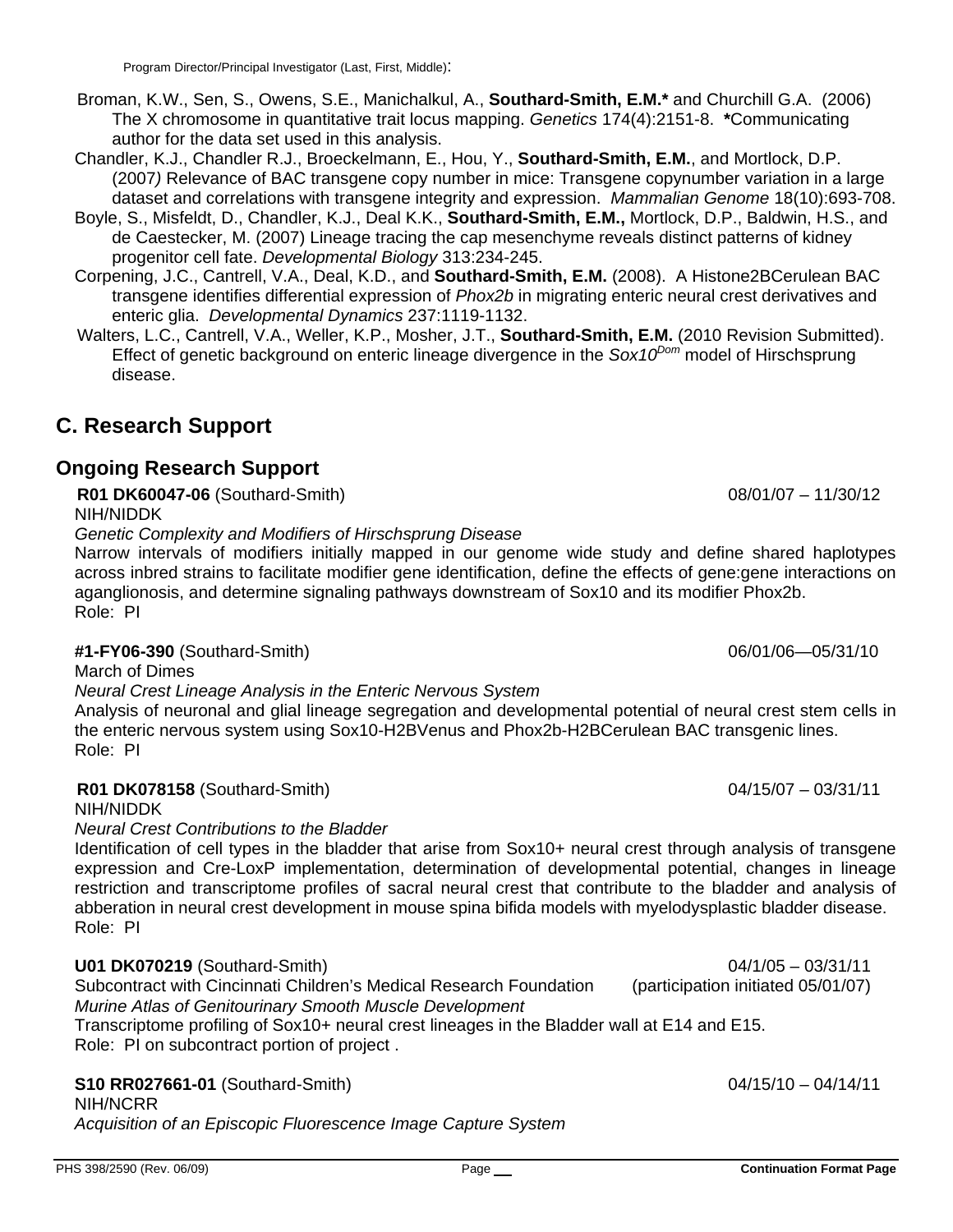- Broman, K.W., Sen, S., Owens, S.E., Manichalkul, A., **Southard-Smith, E.M.\*** and Churchill G.A. (2006) The X chromosome in quantitative trait locus mapping. *Genetics* 174(4):2151-8. **\***Communicating author for the data set used in this analysis.
- Chandler, K.J., Chandler R.J., Broeckelmann, E., Hou, Y., **Southard-Smith, E.M.**, and Mortlock, D.P. (2007*)* Relevance of BAC transgene copy number in mice: Transgene copynumber variation in a large dataset and correlations with transgene integrity and expression. *Mammalian Genome* 18(10):693-708.
- Boyle, S., Misfeldt, D., Chandler, K.J., Deal K.K., **Southard-Smith, E.M.,** Mortlock, D.P., Baldwin, H.S., and de Caestecker, M. (2007) Lineage tracing the cap mesenchyme reveals distinct patterns of kidney progenitor cell fate. *Developmental Biology* 313:234-245.
- Corpening, J.C., Cantrell, V.A., Deal, K.D., and **Southard-Smith, E.M.** (2008). A Histone2BCerulean BAC transgene identifies differential expression of *Phox2b* in migrating enteric neural crest derivatives and enteric glia. *Developmental Dynamics* 237:1119-1132.
- Walters, L.C., Cantrell, V.A., Weller, K.P., Mosher, J.T., **Southard-Smith, E.M.** (2010 Revision Submitted). Effect of genetic background on enteric lineage divergence in the *Sox10<sup>Dom*</sup> model of Hirschsprung disease.

# **C. Research Support**

# **Ongoing Research Support**

**R01 DK60047-06** (Southard-Smith) 08/01/07 – 11/30/12

NIH/NIDDK

*Genetic Complexity and Modifiers of Hirschsprung Disease* 

Narrow intervals of modifiers initially mapped in our genome wide study and define shared haplotypes across inbred strains to facilitate modifier gene identification, define the effects of gene:gene interactions on aganglionosis, and determine signaling pathways downstream of Sox10 and its modifier Phox2b. Role: PI

## **#1-FY06-390** (Southard-Smith) 06/01/06—05/31/10

March of Dimes

*Neural Crest Lineage Analysis in the Enteric Nervous System* 

Analysis of neuronal and glial lineage segregation and developmental potential of neural crest stem cells in the enteric nervous system using Sox10-H2BVenus and Phox2b-H2BCerulean BAC transgenic lines. Role: PI

**R01 DK078158** (Southard-Smith) 04/15/07 – 03/31/11

NIH/NIDDK

*Neural Crest Contributions to the Bladder* 

Identification of cell types in the bladder that arise from Sox10+ neural crest through analysis of transgene expression and Cre-LoxP implementation, determination of developmental potential, changes in lineage restriction and transcriptome profiles of sacral neural crest that contribute to the bladder and analysis of abberation in neural crest development in mouse spina bifida models with myelodysplastic bladder disease. Role: PI

**U01 DK070219** (Southard-Smith) 04/1/05 – 03/31/11 Subcontract with Cincinnati Children's Medical Research Foundation (participation initiated 05/01/07) *Murine Atlas of Genitourinary Smooth Muscle Development*  Transcriptome profiling of Sox10+ neural crest lineages in the Bladder wall at E14 and E15. Role: PI on subcontract portion of project .

# **S10 RR027661-01** (Southard-Smith) 04/15/10 – 04/14/11

NIH/NCRR

*Acquisition of an Episcopic Fluorescence Image Capture System*